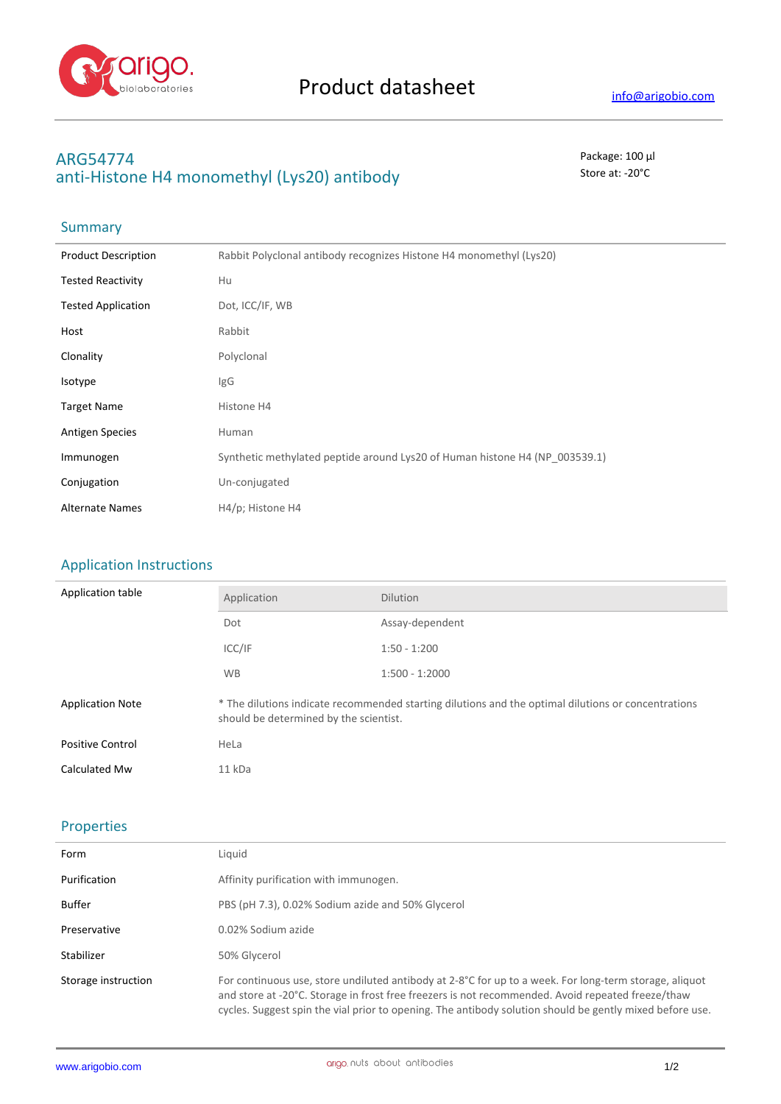

## **ARG54774** Package: 100 μl anti-Histone H4 monomethyl (Lys20) antibody store at: -20<sup>°</sup>C

# Summary

| <b>Product Description</b> | Rabbit Polyclonal antibody recognizes Histone H4 monomethyl (Lys20)         |
|----------------------------|-----------------------------------------------------------------------------|
| <b>Tested Reactivity</b>   | Hu                                                                          |
| <b>Tested Application</b>  | Dot, ICC/IF, WB                                                             |
| Host                       | Rabbit                                                                      |
| Clonality                  | Polyclonal                                                                  |
| Isotype                    | <b>IgG</b>                                                                  |
| <b>Target Name</b>         | Histone H4                                                                  |
| <b>Antigen Species</b>     | Human                                                                       |
| Immunogen                  | Synthetic methylated peptide around Lys20 of Human histone H4 (NP 003539.1) |
| Conjugation                | Un-conjugated                                                               |
| <b>Alternate Names</b>     | H4/p; Histone H4                                                            |

### Application Instructions

| Application table       | Application                                                                                                                                   | <b>Dilution</b>  |
|-------------------------|-----------------------------------------------------------------------------------------------------------------------------------------------|------------------|
|                         | Dot                                                                                                                                           | Assay-dependent  |
|                         | ICC/IF                                                                                                                                        | $1:50 - 1:200$   |
|                         | <b>WB</b>                                                                                                                                     | $1:500 - 1:2000$ |
| <b>Application Note</b> | * The dilutions indicate recommended starting dilutions and the optimal dilutions or concentrations<br>should be determined by the scientist. |                  |
| <b>Positive Control</b> | HeLa                                                                                                                                          |                  |
| Calculated Mw           | 11 kDa                                                                                                                                        |                  |

## Properties

| Form                | Liquid                                                                                                                                                                                                                                                                                                                  |
|---------------------|-------------------------------------------------------------------------------------------------------------------------------------------------------------------------------------------------------------------------------------------------------------------------------------------------------------------------|
| Purification        | Affinity purification with immunogen.                                                                                                                                                                                                                                                                                   |
| Buffer              | PBS (pH 7.3), 0.02% Sodium azide and 50% Glycerol                                                                                                                                                                                                                                                                       |
| Preservative        | 0.02% Sodium azide                                                                                                                                                                                                                                                                                                      |
| Stabilizer          | 50% Glycerol                                                                                                                                                                                                                                                                                                            |
| Storage instruction | For continuous use, store undiluted antibody at 2-8°C for up to a week. For long-term storage, aliquot<br>and store at -20°C. Storage in frost free freezers is not recommended. Avoid repeated freeze/thaw<br>cycles. Suggest spin the vial prior to opening. The antibody solution should be gently mixed before use. |